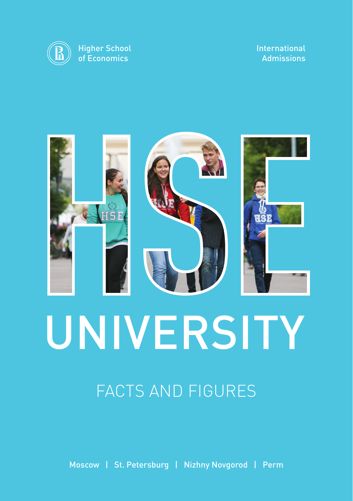

#### International Admissions



# FACTS AND FIGURES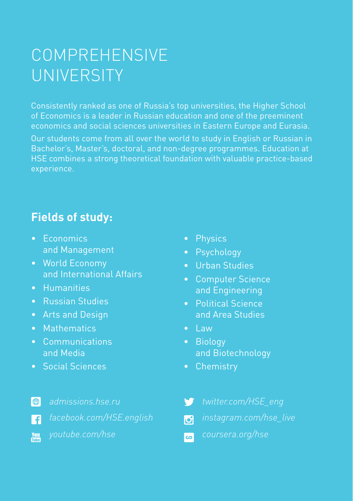# COMPREHENSIVE UNIVERSITY

Consistently ranked as one of Russia's top universities, the Higher School of Economics is a leader in Russian education and one of the preeminent economics and social sciences universities in Eastern Europe and Eurasia. Our students come from all over the world to study in English or Russian in Bachelor's, Master's, doctoral, and non-degree programmes. Education at HSE combines a strong theoretical foundation with valuable practice-based experience.

### **Fields of study:**

- Economics and Management
- World Economy and International Affairs
- Humanities
- Russian Studies
- Arts and Design
- Mathematics
- Communications and Media
- Social Sciences
- Physics
- Psychology
- Urban Studies
- Computer Science and Engineering
- Political Science and Area Studies
- $\bullet$  Law
- Biology and Biotechnology
- Chemistry
- $\bigoplus$ *admissions.hse.ru facebook.com/HSE.english*  $\blacksquare$
- *youtube.com/hse* **You**
- *twitter.com/HSE\_eng* V
- *instagram.com/hse\_live*  $\overline{6}$
- *coursera.org/hse* $\overline{\mathbf{c}}$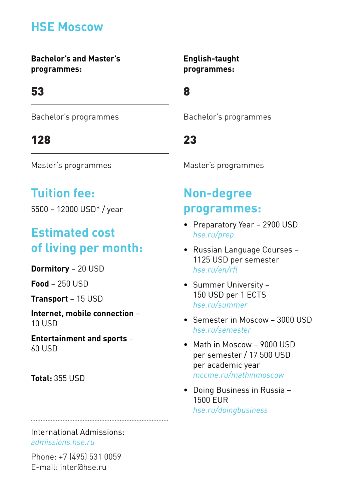## **HSE Moscow**

**Bachelor's and Master's programmes:** 

## 53

Bachelor's programmes

### 128

Master's programmes

### **Tuition fee:**

5500 – 12000 USD\* / year

### **Estimated cost of living per month:**

**Dormitory** – 20 USD

**Food** – 250 USD

**Transport** – 15 USD

**Internet, mobile connection** – 10 USD

**Entertainment and sports** – 60 USD

**Total:** 355 USD

International Admissions: *admissions.hse.ru*

Phone: +7 (495) 531 0059 E-mail: inter@hse.ru

**English-taught programmes:**

8

Bachelor's programmes

## 23

Master's programmes

### **Non-degree programmes:**

- Preparatory Year 2900 USD *hse.ru/prep*
- Russian Language Courses 1125 USD per semester *hse.ru/en/rfl*
- Summer University 150 USD per 1 ECTS *hse.ru/summer*
- Semester in Moscow 3000 USD *hse.ru/semester*
- Math in Moscow 9000 USD per semester / 17 500 USD per academic year *mccme.ru/mathinmoscow*
- Doing Business in Russia 1500 EUR *hse.ru/doingbusiness*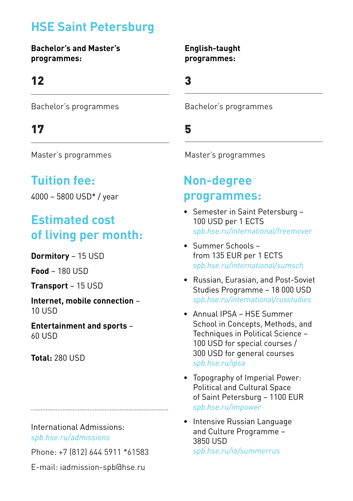## **HSE Saint Petersburg**

**Bachelor's and Master's programmes:** 

### 12

Bachelor's programmes

### 17

Master's programmes

## **Tuition fee:**

4000 – 5800 USD\* / year

## **Estimated cost of living per month:**

**Dormitory** – 15 USD

**Food** – 180 USD

**Transport** – 15 USD

**Internet, mobile connection** – 10 USD

**Entertainment and sports** – 60 USD

**Total:** 280 USD

International Admissions:

*spb.hse.ru/admissions*

Phone: +7 (812) 644 5911 \*61583

E-mail: iadmission-spb@hse.ru

#### **English-taught programmes:**

3

Bachelor's programmes

### 5

Master's programmes

### **Non-degree programmes:**

- Semester in Saint Petersburg 100 USD per 1 ECTS *spb.hse.ru/international/freemover*
- Summer Schools from 135 EUR per 1 ECTS *spb.hse.ru/international/sumsch*
- Russian, Eurasian, and Post-Soviet Studies Programme – 18 000 USD *spb.hse.ru/international/russtudies*
- Annual IPSA HSE Summer School in Concepts, Methods, and Techniques in Political Science – 100 USD for special courses / 300 USD for general courses *spb.hse.ru/ipsa*
- Topography of Imperial Power: Political and Cultural Space of Saint Petersburg – 1100 EUR *spb.hse.ru/impower*
- Intensive Russian Language and Culture Programme – 3850 USD *spb.hse.ru/io/summerrus*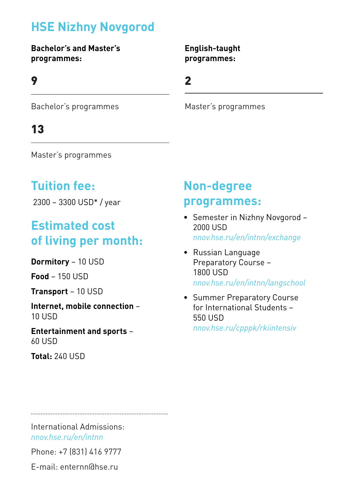## **HSE Nizhny Novgorod**

#### **Bachelor's and Master's programmes:**

#### 9

#### **English-taught programmes:**

2

Bachelor's programmes

### 13

Master's programmes

### **Tuition fee:**

2300 – 3300 USD\* / year

## **Estimated cost of living per month:**

**Dormitory** – 10 USD

**Food** – 150 USD

**Transport** – 10 USD

**Internet, mobile connection** – 10 USD

**Entertainment and sports** – 60 USD

**Total:** 240 USD

## **Non-degree programmes:**

Master's programmes

- Semester in Nizhny Novgorod 2000 USD *nnov.hse.ru/en/intnn/exchange*
- Russian Language Preparatory Course – 1800 USD *nnov.hse.ru/en/intnn/langschool*
- Summer Preparatory Course for International Students – 550 USD

*nnov.hse.ru/cpppk/rkiintensiv*

International Admissions: *nnov.hse.ru/en/intnn*

Phone: +7 (831) 416 9777

E-mail: enternn@hse.ru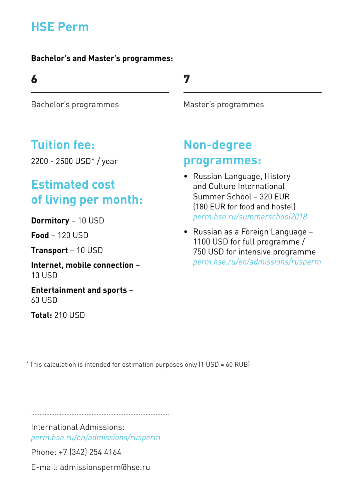## **HSE Perm**

#### **Bachelor's and Master's programmes:**

### 6

Bachelor's programmes

### **Tuition fee:**

2200 - 2500 USD\* / year

## **Estimated cost of living per month:**

**Dormitory** – 10 USD

**Food** – 120 USD

**Transport** – 10 USD

**Internet, mobile connection** – 10 USD

**Entertainment and sports** – 60 USD

**Total:** 210 USD

### 7

Master's programmes

## **Non-degree programmes:**

- Russian Language, History and Culture International Summer School – 320 EUR (180 EUR for food and hostel) *perm.hse.ru/summerschool2018*
- Russian as a Foreign Language 1100 USD for full programme / 750 USD for intensive programme *perm.hse.ru/en/admissions/rusperm*

\* This calculation is intended for estimation purposes only (1 USD = 60 RUB)

International Admissions: *perm.hse.ru/en/admissions/rusperm*

Phone: +7 (342) 254 4164

E-mail: admissionsperm@hse.ru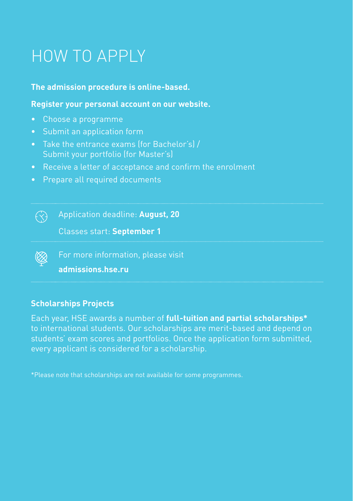# HOW TO APPLY

#### **The admission procedure is online-based.**

#### **Register your personal account on our website.**

- Choose a programme
- Submit an application form
- Take the entrance exams (for Bachelor's) / Submit your portfolio (for Master's)
- Receive a letter of acceptance and confirm the enrolment
- Prepare all required documents

Application deadline: **August, 20**

Classes start: **September 1**

For more information, please visit

**admissions.hse.ru**

#### **Scholarships Projects**

 $\bigodot$ 

Each year, HSE awards a number of **full-tuition and partial scholarships\*** to international students. Our scholarships are merit-based and depend on students' exam scores and portfolios. Once the application form submitted, every applicant is considered for a scholarship.

\*Please note that scholarships are not available for some programmes.